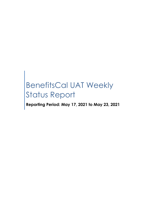# BenefitsCal UAT Weekly Status Report

**Reporting Period: May 17, 2021 to May 23, 2021**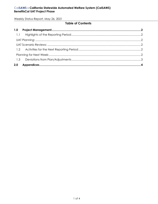Weekly Status Report, May 26, 2021

# **Table of Contents**

| 2.0 |  |
|-----|--|
|     |  |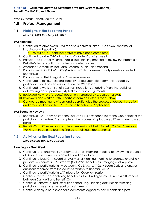Weekly Status Report, May 26, 2021

# <span id="page-2-0"></span>**1.0 Project Management**

### <span id="page-2-1"></span>**1.1 Highlights of the Reporting Period:** *May 17, 2021 thru May 23, 2021*

#### <span id="page-2-2"></span>**UAT Planning:**

1. Continued to drive overall UAT readiness across all areas (CalSAWS, BenefitsCal, Imaging and Reporting).

o 78 out of 161 identified activities have been completed.

- 2. Continued to drive C-IV Migration UAT Master Planning meetings.
- 3. Participated in weekly Portal/Mobile Test Planning meeting to review the progress of Deloitte's test execution activities and defect status.
- 4. Attended Consortium Test Case Baseline Touch Point meeting.
- 5. Participated in CalSAWS UAT Q&A Zoom Calls to answer county questions related to BenefitsCal.
- 6. Participated in UAT Integration Overview sessions.
- 7. Continued to review/respond BenefitsCal Test Scenario comments logged by participants and posted responses on the Web Portal.
- 8. Continued to work on BenefitsCal Test Execution Scheduling/Planning activities, determining participants weekly test execution assignments.
- 9. Reviewed How To's (process) documents created by ClearBest for UAT.
- 10. Reviewed and worked with ClearBest team on Defect Process flow.
- 11. Conducted meeting to discuss and operationalize the process of account creation and email notification for UAT testers in BenefitsCal Application.

#### <span id="page-2-3"></span>**UAT Scenario Reviews:**

- BenefitsCal UAT Team posted the final 93 SIT E2E test scenarios to the web portal for the participants to review. This completes the process of uploading UAT test cases to web portal.
- BenefitsCal UAT team has completed reviewing all but 3 BenefitsCal Test Scenarios. Working with Deloitte team to finalize remaining three scenarios.

#### <span id="page-2-4"></span>**1.2 Activities for the Next Reporting Period:**

#### *May 24,2021 thru May 30,2021*

#### <span id="page-2-5"></span>**Planning for Next Week:**

- 1. Continue to attend weekly Portal/Mobile Test Planning meeting to review the progress of Deloitte's test execution activities and defect status.
- 2. Continue to lead C-IV Migration UAT Master Planning meeting to organize overall UAT preparation across all UAT streams (CalSAWS, BenefitsCal, Imaging and Reports).
- 3. Continue to participate in twice weekly CalSAWS UAT Q&A Zoom Calls and answer questions received from the counties relative to BenefitsCal UAT.
- 4. Continue to participate in UAT Integration Overview sessions.
- 5. Continue to work on identifying BenefitsCal UAT Findings/Defect Process differences between CalSAWS and BenefitsCal.
- 6. Continue BenefitsCal Test Execution Scheduling/Planning activities determining participants weekly test execution assignments.
- 7. Continue analysis of Test Scenario comments logged by participants and post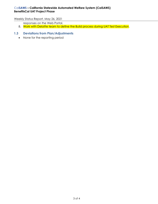#### Cal**SAWS – California Statewide Automated Welfare System (CalSAWS) BenefitsCal UAT Project Phase**

Weekly Status Report, May 26, 2021

responses on the Web Portal.

8. Work with Deloitte team to define the Build process during UAT Test Execution.

# <span id="page-3-0"></span>**1.3 Deviations from Plan/Adjustments**

• None for the reporting period